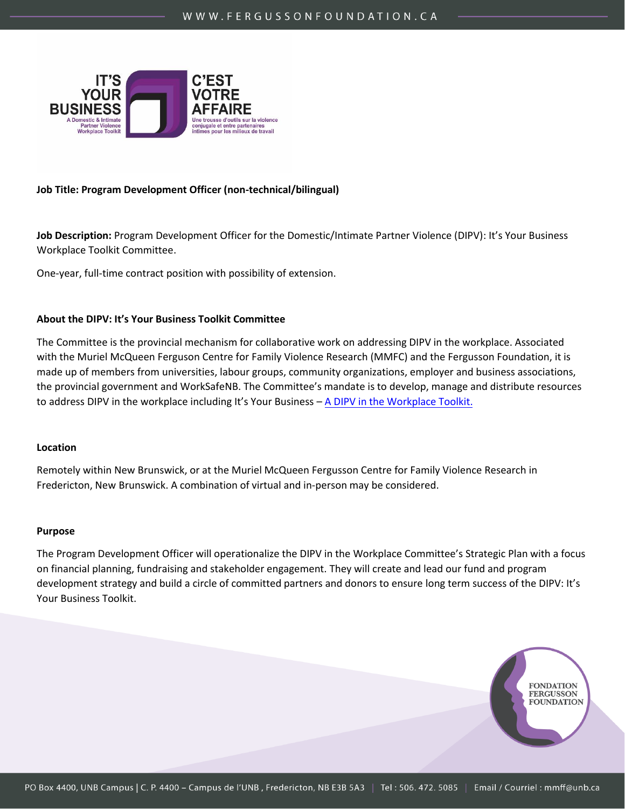

#### **Job Title: Program Development Officer (non-technical/bilingual)**

**Job Description:** Program Development Officer for the Domestic/Intimate Partner Violence (DIPV): It's Your Business Workplace Toolkit Committee.

One-year, full-time contract position with possibility of extension.

### **About the DIPV: It's Your Business Toolkit Committee**

The Committee is the provincial mechanism for collaborative work on addressing DIPV in the workplace. Associated with the Muriel McQueen Ferguson Centre for Family Violence Research (MMFC) and the Fergusson Foundation, it is made up of members from universities, labour groups, community organizations, employer and business associations, the provincial government and WorkSafeNB. The Committee's mandate is to develop, manage and distribute resources to address DIPV in the workplace includ[ing It's Your Business –](https://www.toolkitnb.ca/home/) A DIPV in the Workplace Toolkit.

#### **Location**

Remotely within New Brunswick, or at the Muriel McQueen Fergusson Centre for Family Violence Research in Fredericton, New Brunswick. A combination of virtual and in-person may be considered.

#### **Purpose**

The Program Development Officer will operationalize the DIPV in the Workplace Committee's Strategic Plan with a focus on financial planning, fundraising and stakeholder engagement. They will create and lead our fund and program development strategy and build a circle of committed partners and donors to ensure long term success of the DIPV: It's Your Business Toolkit.

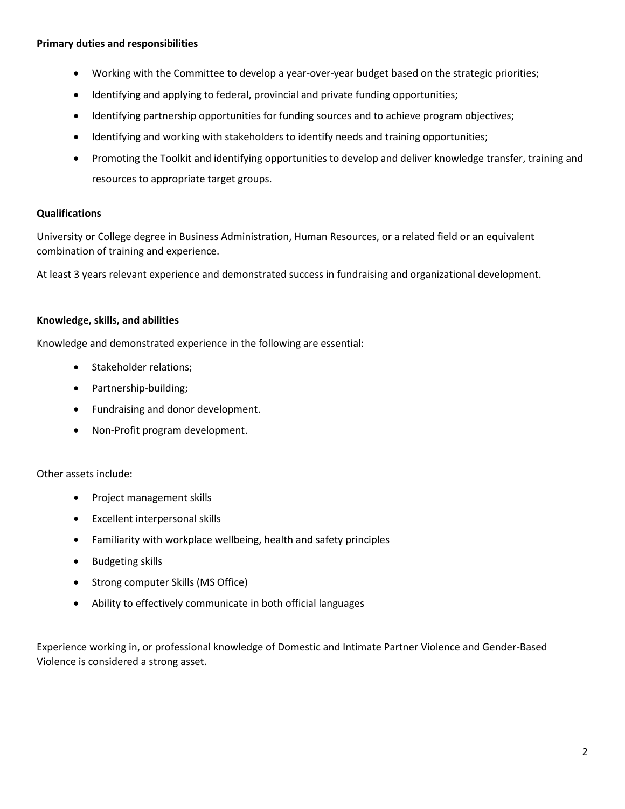### **Primary duties and responsibilities**

- Working with the Committee to develop a year-over-year budget based on the strategic priorities;
- Identifying and applying to federal, provincial and private funding opportunities;
- Identifying partnership opportunities for funding sources and to achieve program objectives;
- Identifying and working with stakeholders to identify needs and training opportunities;
- Promoting the Toolkit and identifying opportunities to develop and deliver knowledge transfer, training and resources to appropriate target groups.

# **Qualifications**

University or College degree in Business Administration, Human Resources, or a related field or an equivalent combination of training and experience.

At least 3 years relevant experience and demonstrated success in fundraising and organizational development.

# **Knowledge, skills, and abilities**

Knowledge and demonstrated experience in the following are essential:

- Stakeholder relations;
- Partnership-building;
- Fundraising and donor development.
- Non-Profit program development.

Other assets include:

- Project management skills
- Excellent interpersonal skills
- Familiarity with workplace wellbeing, health and safety principles
- Budgeting skills
- Strong computer Skills (MS Office)
- Ability to effectively communicate in both official languages

Experience working in, or professional knowledge of Domestic and Intimate Partner Violence and Gender-Based Violence is considered a strong asset.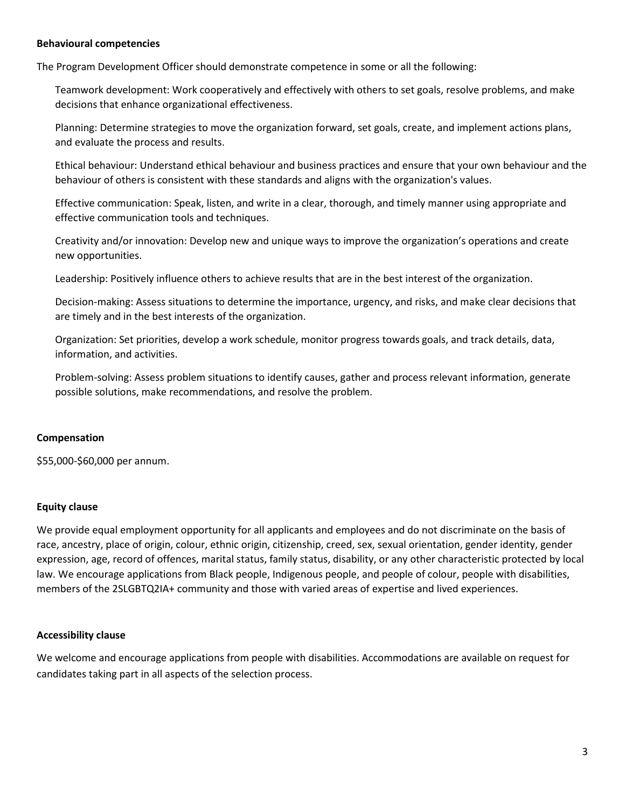### **Behavioural competencies**

The Program Development Officer should demonstrate competence in some or all the following:

Teamwork development: Work cooperatively and effectively with others to set goals, resolve problems, and make decisions that enhance organizational effectiveness.

Planning: Determine strategies to move the organization forward, set goals, create, and implement actions plans, and evaluate the process and results.

Ethical behaviour: Understand ethical behaviour and business practices and ensure that your own behaviour and the behaviour of others is consistent with these standards and aligns with the organization's values.

Effective communication: Speak, listen, and write in a clear, thorough, and timely manner using appropriate and effective communication tools and techniques.

Creativity and/or innovation: Develop new and unique ways to improve the organization's operations and create new opportunities.

Leadership: Positively influence others to achieve results that are in the best interest of the organization.

Decision-making: Assess situations to determine the importance, urgency, and risks, and make clear decisions that are timely and in the best interests of the organization.

Organization: Set priorities, develop a work schedule, monitor progress towards goals, and track details, data, information, and activities.

Problem-solving: Assess problem situations to identify causes, gather and process relevant information, generate possible solutions, make recommendations, and resolve the problem.

# **Compensation**

\$55,000-\$60,000 per annum.

# **Equity clause**

We provide equal employment opportunity for all applicants and employees and do not discriminate on the basis of race, ancestry, place of origin, colour, ethnic origin, citizenship, creed, sex, sexual orientation, gender identity, gender expression, age, record of offences, marital status, family status, disability, or any other characteristic protected by local law. We encourage applications from Black people, Indigenous people, and people of colour, people with disabilities, members of the 2SLGBTQ2IA+ community and those with varied areas of expertise and lived experiences.

# **Accessibility clause**

We welcome and encourage applications from people with disabilities. Accommodations are available on request for candidates taking part in all aspects of the selection process.